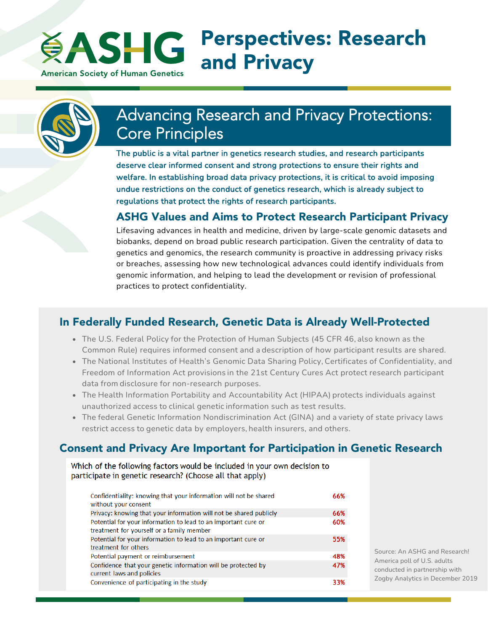#### Perspectives: Research **EASHG** and Privacy **American Society of Human Genetics**



# Advancing Research and Privacy Protections: Core Principles

The public is a vital partner in genetics research studies, and research participants deserve clear informed consent and strong protections to ensure their rights and welfare. In establishing broad data privacy protections, it is critical to avoid imposing undue restrictions on the conduct of genetics research, which is already subject to regulations that protect the rights of research participants.

#### ASHG Values and Aims to Protect Research Participant Privacy

Lifesaving advances in health and medicine, driven by large-scale genomic datasets and biobanks, depend on broad public research participation. Given the centrality of data to genetics and genomics, the research community is proactive in addressing privacy risks or breaches, assessing how new technological advances could identify individuals from genomic information, and helping to lead the development or revision of professional practices to protect confidentiality.

## In Federally Funded Research, Genetic Data is Already Well-Protected

- The U.S. Federal Policy for the Protection of Human Subjects (45 CFR 46, also known as the Common Rule) requires informed consent and a description of how participant results are shared.
- The National Institutes of Health's Genomic Data Sharing Policy, Certificates of Confidentiality, and Freedom of Information Act provisions in the 21st Century Cures Act protect research participant data from disclosure for non-research purposes.
- The Health Information Portability and Accountability Act (HIPAA) protects individuals against unauthorized access to clinical genetic information such as test results.
- The federal Genetic Information Nondiscrimination Act (GINA) and a variety of state privacy laws restrict access to genetic data by employers, health insurers, and others.

## Consent and Privacy Are Important for Participation in Genetic Research

Which of the following factors would be included in your own decision to participate in genetic research? (Choose all that apply)

| Confidentiality: knowing that your information will not be shared<br>without your consent                   | 66% |
|-------------------------------------------------------------------------------------------------------------|-----|
| Privacy: knowing that your information will not be shared publicly                                          | 66% |
| Potential for your information to lead to an important cure or<br>treatment for yourself or a family member | 60% |
| Potential for your information to lead to an important cure or<br>treatment for others                      | 55% |
| Potential payment or reimbursement                                                                          | 48% |
| Confidence that your genetic information will be protected by<br>current laws and policies                  | 47% |
| Convenience of participating in the study                                                                   | 33% |

Source: An ASHG and Research! America poll of U.S. adults conducted in partnership with Zogby Analytics in December 2019